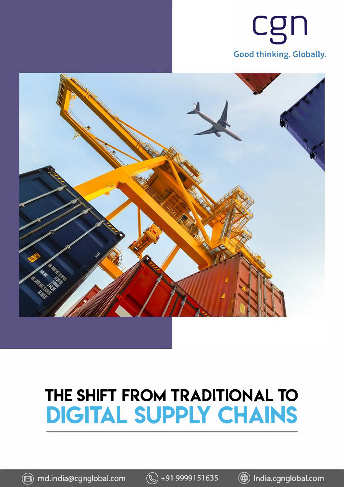



## **THE SHIFT FROM TRADITIONAL TO DIGITAL SUPPLY CHAINS**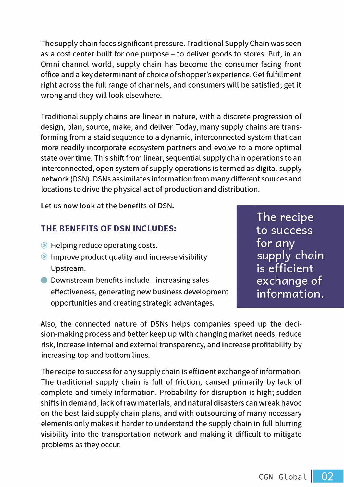The supply chain faces significant pressure. Traditional Supply Chain was seen as a cost center built for one purpose - to deliver goods to stores. But, in an Omni-channel world, supply chain has become the consumer-facing front office and a key determinant of choice of shopper's experience. Get fulfillment right across the full range of channels, and consumers will be satisfied; get it wrong and they will look elsewhere.

Traditional supply chains are linear in nature, with a discrete progression of design, plan, source, make, and deliver. Today, many supply chains are transforming from a staid sequence to a dynamic, interconnected system that can more readily incorporate ecosystem partners and evolve to a more optimal state over time. This shift from linear, sequential supply chain operations to an interconnected, open system of supply operations is termed as digital supply network (DSN). DSNs assimilates information from many different sources and locations to drive the physical act of production and distribution.

Let us now look at the benefits of DSN.

## **THE BENEFITS OF DSN INCLUDES:**

- $\odot$  Helping reduce operating costs.
- **Improve product quality and increase visibility** Upstream.
- **O** Downstream benefits include increasing sales effectiveness, generating new business development opportunities and creating strategic advantages.

The recipe to success for *any* supply chain is efficient exchange of information.

Also, the connected nature of DSNs helps companies speed up the decision-making process and better keep up with changing market needs, reduce risk, increase internal and external transparency, and increase profitability by increasing top and bottom lines.

The recipe to success for any supply chain is efficient exchange of information. The traditional supply chain is full of friction, caused primarily by lack of complete and timely information. Probability for disruption is high; sudden shifts in demand, lack of raw materials, and natural disasters can wreak havoc on the best-laid supply chain plans, and with outsourcing of many necessary elements only makes it harder to understand the supply chain in full blurring visibility into the transportation network and making it difficult to mitigate problems as they occur.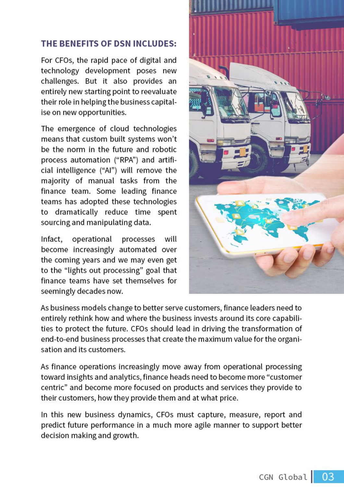## THE BENEFITS OF DSN INCLUDES:

For CFOs, the rapid pace of digital and technology development poses new challenges. But it also provides an entirely new starting point to reevaluate their role in helping the business capitalise on new opportunities.

The emergence of cloud technologies means that custom built systems won't be the norm in the future and robotic process automation ("RPA") and artificial intelligence ("Al") will remove the majority of manual tasks from the finance team. Some leading finance teams has adopted these technologies to dramatically reduce time spent sourcing and manipulating data.

Infact, operational processes will become increasingly automated over the coming years and we may even get to the "lights out processing" goal that finance teams have set themselves for seemingly decades now.



As business models change to better serve customers, finance leaders need to entirely rethink how and where the business invests around its core capabilities to protect the future. CFOs should lead in driving the transformation of end-to-end business processes that create the maximum value for the organisation and its customers.

As finance operations increasingly move away from operational processing toward insights and analytics, finance heads need to become more "customer centric" and become more focused on products and services they provide to their customers, how they provide them and at what price.

In this new business dynamics, CFOs must capture, measure, report and predict future performance in a much more agile manner to support better decision making and growth.